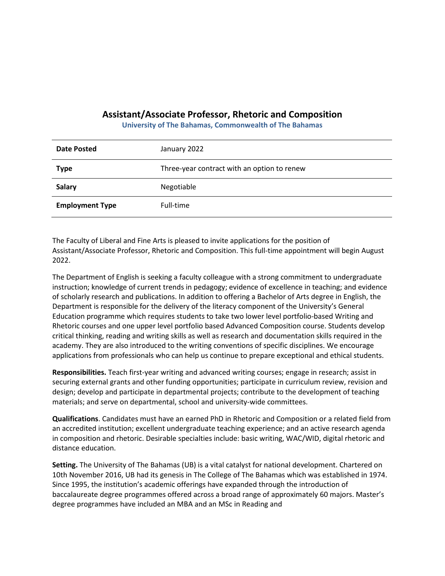## **Assistant/Associate Professor, Rhetoric and Composition**

**University of The Bahamas, Commonwealth of The Bahamas**

| <b>Date Posted</b>     | January 2022                                |
|------------------------|---------------------------------------------|
| <b>Type</b>            | Three-year contract with an option to renew |
| <b>Salary</b>          | Negotiable                                  |
| <b>Employment Type</b> | Full-time                                   |

The Faculty of Liberal and Fine Arts is pleased to invite applications for the position of Assistant/Associate Professor, Rhetoric and Composition. This full-time appointment will begin August 2022.

The Department of English is seeking a faculty colleague with a strong commitment to undergraduate instruction; knowledge of current trends in pedagogy; evidence of excellence in teaching; and evidence of scholarly research and publications. In addition to offering a Bachelor of Arts degree in English, the Department is responsible for the delivery of the literacy component of the University's General Education programme which requires students to take two lower level portfolio-based Writing and Rhetoric courses and one upper level portfolio based Advanced Composition course. Students develop critical thinking, reading and writing skills as well as research and documentation skills required in the academy. They are also introduced to the writing conventions of specific disciplines. We encourage applications from professionals who can help us continue to prepare exceptional and ethical students.

**Responsibilities.** Teach first-year writing and advanced writing courses; engage in research; assist in securing external grants and other funding opportunities; participate in curriculum review, revision and design; develop and participate in departmental projects; contribute to the development of teaching materials; and serve on departmental, school and university-wide committees.

**Qualifications**. Candidates must have an earned PhD in Rhetoric and Composition or a related field from an accredited institution; excellent undergraduate teaching experience; and an active research agenda in composition and rhetoric. Desirable specialties include: basic writing, WAC/WID, digital rhetoric and distance education.

**Setting.** The University of The Bahamas (UB) is a vital catalyst for national development. Chartered on 10th November 2016, UB had its genesis in The College of The Bahamas which was established in 1974. Since 1995, the institution's academic offerings have expanded through the introduction of baccalaureate degree programmes offered across a broad range of approximately 60 majors. Master's degree programmes have included an MBA and an MSc in Reading and